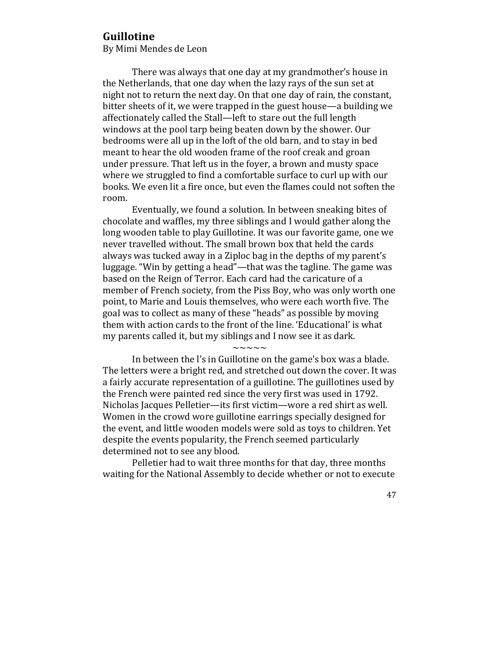## **Guillotine**

By Mimi Mendes de Leon

There was always that one day at my grandmother's house in the Netherlands, that one day when the lazy rays of the sun set at night not to return the next day. On that one day of rain, the constant, bitter sheets of it, we were trapped in the guest house—a building we affectionately called the Stall—left to stare out the full length windows at the pool tarp being beaten down by the shower. Our bedrooms were all up in the loft of the old barn, and to stay in bed meant to hear the old wooden frame of the roof creak and groan under pressure. That left us in the fover, a brown and musty space where we struggled to find a comfortable surface to curl up with our books. We even lit a fire once, but even the flames could not soften the room. 

Eventually, we found a solution. In between sneaking bites of chocolate and waffles, my three siblings and I would gather along the long wooden table to play Guillotine. It was our favorite game, one we never travelled without. The small brown box that held the cards always was tucked away in a Ziploc bag in the depths of my parent's luggage. "Win by getting a head"—that was the tagline. The game was based on the Reign of Terror. Each card had the caricature of a member of French society, from the Piss Boy, who was only worth one point, to Marie and Louis themselves, who were each worth five. The goal was to collect as many of these "heads" as possible by moving them with action cards to the front of the line. 'Educational' is what my parents called it, but my siblings and I now see it as dark.

## $\sim\sim\sim\sim\sim$

In between the l's in Guillotine on the game's box was a blade. The letters were a bright red, and stretched out down the cover. It was a fairly accurate representation of a guillotine. The guillotines used by the French were painted red since the very first was used in 1792. Nicholas Jacques Pelletier—its first victim—wore a red shirt as well. Women in the crowd wore guillotine earrings specially designed for the event, and little wooden models were sold as toys to children. Yet despite the events popularity, the French seemed particularly determined not to see any blood.

Pelletier had to wait three months for that day, three months waiting for the National Assembly to decide whether or not to execute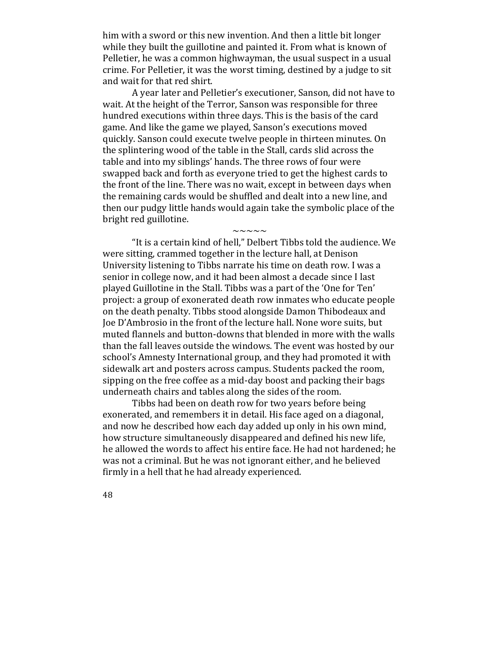him with a sword or this new invention. And then a little bit longer while they built the guillotine and painted it. From what is known of Pelletier, he was a common highwayman, the usual suspect in a usual crime. For Pelletier, it was the worst timing, destined by a judge to sit and wait for that red shirt.

A year later and Pelletier's executioner, Sanson, did not have to wait. At the height of the Terror, Sanson was responsible for three hundred executions within three days. This is the basis of the card game. And like the game we played, Sanson's executions moved quickly. Sanson could execute twelve people in thirteen minutes. On the splintering wood of the table in the Stall, cards slid across the table and into my siblings' hands. The three rows of four were swapped back and forth as everyone tried to get the highest cards to the front of the line. There was no wait, except in between days when the remaining cards would be shuffled and dealt into a new line, and then our pudgy little hands would again take the symbolic place of the bright red guillotine.

 $\sim\sim\sim\sim\sim$ 

"It is a certain kind of hell," Delbert Tibbs told the audience. We were sitting, crammed together in the lecture hall, at Denison University listening to Tibbs narrate his time on death row. I was a senior in college now, and it had been almost a decade since I last played Guillotine in the Stall. Tibbs was a part of the 'One for Ten' project: a group of exonerated death row inmates who educate people on the death penalty. Tibbs stood alongside Damon Thibodeaux and Joe D'Ambrosio in the front of the lecture hall. None wore suits, but muted flannels and button-downs that blended in more with the walls than the fall leaves outside the windows. The event was hosted by our school's Amnesty International group, and they had promoted it with sidewalk art and posters across campus. Students packed the room, sipping on the free coffee as a mid-day boost and packing their bags underneath chairs and tables along the sides of the room.

Tibbs had been on death row for two years before being exonerated, and remembers it in detail. His face aged on a diagonal, and now he described how each day added up only in his own mind, how structure simultaneously disappeared and defined his new life, he allowed the words to affect his entire face. He had not hardened; he was not a criminal. But he was not ignorant either, and he believed firmly in a hell that he had already experienced.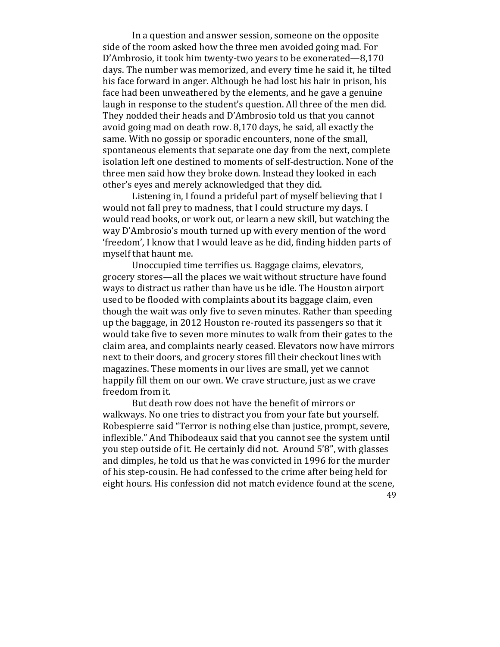In a question and answer session, someone on the opposite side of the room asked how the three men avoided going mad. For D'Ambrosio, it took him twenty-two years to be exonerated—8,170 days. The number was memorized, and every time he said it, he tilted his face forward in anger. Although he had lost his hair in prison, his face had been unweathered by the elements, and he gave a genuine laugh in response to the student's question. All three of the men did. They nodded their heads and D'Ambrosio told us that you cannot avoid going mad on death row.  $8,170$  days, he said, all exactly the same. With no gossip or sporadic encounters, none of the small, spontaneous elements that separate one day from the next, complete isolation left one destined to moments of self-destruction. None of the three men said how they broke down. Instead they looked in each other's eves and merely acknowledged that they did.

Listening in, I found a prideful part of myself believing that  $I$ would not fall prey to madness, that I could structure my days. I would read books, or work out, or learn a new skill, but watching the way D'Ambrosio's mouth turned up with every mention of the word 'freedom', I know that I would leave as he did, finding hidden parts of myself that haunt me.

Unoccupied time terrifies us. Baggage claims, elevators, grocery stores—all the places we wait without structure have found ways to distract us rather than have us be idle. The Houston airport used to be flooded with complaints about its baggage claim, even though the wait was only five to seven minutes. Rather than speeding up the baggage, in 2012 Houston re-routed its passengers so that it would take five to seven more minutes to walk from their gates to the claim area, and complaints nearly ceased. Elevators now have mirrors next to their doors, and grocery stores fill their checkout lines with magazines. These moments in our lives are small, yet we cannot happily fill them on our own. We crave structure, just as we crave freedom from it.

49 But death row does not have the benefit of mirrors or walkways. No one tries to distract you from your fate but yourself. Robespierre said "Terror is nothing else than justice, prompt, severe, inflexible." And Thibodeaux said that you cannot see the system until you step outside of it. He certainly did not. Around 5'8", with glasses and dimples, he told us that he was convicted in 1996 for the murder of his step-cousin. He had confessed to the crime after being held for eight hours. His confession did not match evidence found at the scene,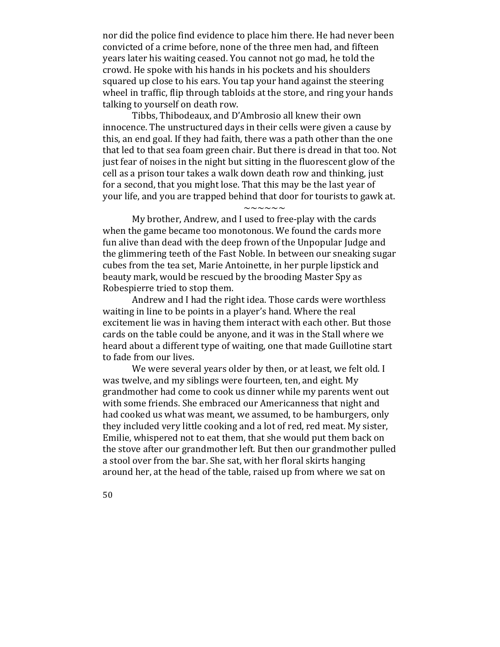nor did the police find evidence to place him there. He had never been convicted of a crime before, none of the three men had, and fifteen years later his waiting ceased. You cannot not go mad, he told the crowd. He spoke with his hands in his pockets and his shoulders squared up close to his ears. You tap your hand against the steering wheel in traffic, flip through tabloids at the store, and ring your hands talking to yourself on death row.

Tibbs, Thibodeaux, and D'Ambrosio all knew their own innocence. The unstructured days in their cells were given a cause by this, an end goal. If they had faith, there was a path other than the one that led to that sea foam green chair. But there is dread in that too. Not just fear of noises in the night but sitting in the fluorescent glow of the cell as a prison tour takes a walk down death row and thinking, just for a second, that you might lose. That this may be the last year of your life, and you are trapped behind that door for tourists to gawk at.

## $\sim\sim\sim\sim\sim\sim$

My brother, Andrew, and I used to free-play with the cards when the game became too monotonous. We found the cards more fun alive than dead with the deep frown of the Unpopular Judge and the glimmering teeth of the Fast Noble. In between our sneaking sugar cubes from the tea set, Marie Antoinette, in her purple lipstick and beauty mark, would be rescued by the brooding Master Spy as Robespierre tried to stop them.

Andrew and I had the right idea. Those cards were worthless waiting in line to be points in a player's hand. Where the real excitement lie was in having them interact with each other. But those cards on the table could be anyone, and it was in the Stall where we heard about a different type of waiting, one that made Guillotine start to fade from our lives.

We were several years older by then, or at least, we felt old. I was twelve, and my siblings were fourteen, ten, and eight. My grandmother had come to cook us dinner while my parents went out with some friends. She embraced our Americanness that night and had cooked us what was meant, we assumed, to be hamburgers, only they included very little cooking and a lot of red, red meat. My sister, Emilie, whispered not to eat them, that she would put them back on the stove after our grandmother left. But then our grandmother pulled a stool over from the bar. She sat, with her floral skirts hanging around her, at the head of the table, raised up from where we sat on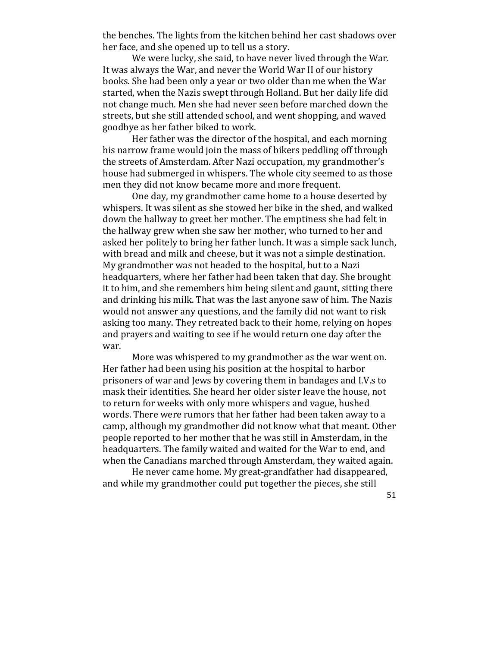the benches. The lights from the kitchen behind her cast shadows over her face, and she opened up to tell us a story.

We were lucky, she said, to have never lived through the War. It was always the War, and never the World War II of our history books. She had been only a year or two older than me when the War started, when the Nazis swept through Holland. But her daily life did not change much. Men she had never seen before marched down the streets, but she still attended school, and went shopping, and waved goodbye as her father biked to work.

Her father was the director of the hospital, and each morning his narrow frame would join the mass of bikers peddling off through the streets of Amsterdam. After Nazi occupation, my grandmother's house had submerged in whispers. The whole city seemed to as those men they did not know became more and more frequent.

One day, my grandmother came home to a house deserted by whispers. It was silent as she stowed her bike in the shed, and walked down the hallway to greet her mother. The emptiness she had felt in the hallway grew when she saw her mother, who turned to her and asked her politely to bring her father lunch. It was a simple sack lunch, with bread and milk and cheese, but it was not a simple destination. My grandmother was not headed to the hospital, but to a Nazi headquarters, where her father had been taken that day. She brought it to him, and she remembers him being silent and gaunt, sitting there and drinking his milk. That was the last anyone saw of him. The Nazis would not answer any questions, and the family did not want to risk asking too many. They retreated back to their home, relying on hopes and prayers and waiting to see if he would return one day after the war.

More was whispered to my grandmother as the war went on. Her father had been using his position at the hospital to harbor prisoners of war and Jews by covering them in bandages and I.V.s to mask their identities. She heard her older sister leave the house, not to return for weeks with only more whispers and vague, hushed words. There were rumors that her father had been taken away to a camp, although my grandmother did not know what that meant. Other people reported to her mother that he was still in Amsterdam, in the headquarters. The family waited and waited for the War to end, and when the Canadians marched through Amsterdam, they waited again.

He never came home. My great-grandfather had disappeared, and while my grandmother could put together the pieces, she still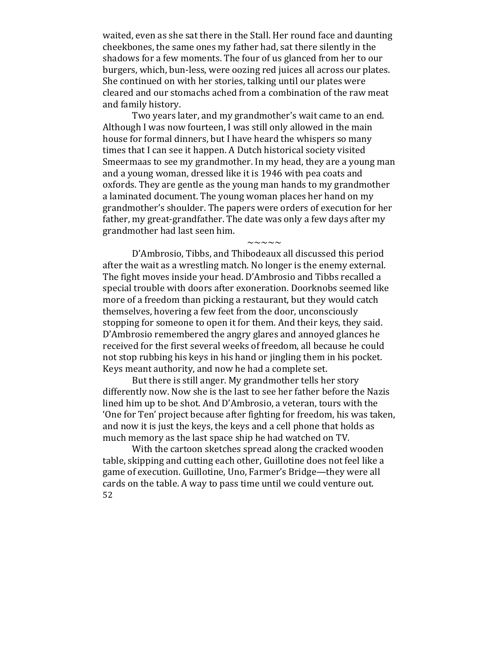waited, even as she sat there in the Stall. Her round face and daunting cheekbones, the same ones my father had, sat there silently in the shadows for a few moments. The four of us glanced from her to our burgers, which, bun-less, were oozing red juices all across our plates. She continued on with her stories, talking until our plates were cleared and our stomachs ached from a combination of the raw meat and family history.

Two years later, and my grandmother's wait came to an end. Although I was now fourteen, I was still only allowed in the main house for formal dinners, but I have heard the whispers so many times that I can see it happen. A Dutch historical society visited Smeermaas to see my grandmother. In my head, they are a young man and a young woman, dressed like it is 1946 with pea coats and oxfords. They are gentle as the young man hands to my grandmother a laminated document. The voung woman places her hand on my grandmother's shoulder. The papers were orders of execution for her father, my great-grandfather. The date was only a few days after my grandmother had last seen him.

 $\sim\sim\sim\sim\sim$ 

D'Ambrosio, Tibbs, and Thibodeaux all discussed this period after the wait as a wrestling match. No longer is the enemy external. The fight moves inside your head. D'Ambrosio and Tibbs recalled a special trouble with doors after exoneration. Doorknobs seemed like more of a freedom than picking a restaurant, but they would catch themselves, hovering a few feet from the door, unconsciously stopping for someone to open it for them. And their keys, they said. D'Ambrosio remembered the angry glares and annoyed glances he received for the first several weeks of freedom, all because he could not stop rubbing his keys in his hand or jingling them in his pocket. Kevs meant authority, and now he had a complete set.

But there is still anger. My grandmother tells her story differently now. Now she is the last to see her father before the Nazis lined him up to be shot. And D'Ambrosio, a veteran, tours with the 'One for Ten' project because after fighting for freedom, his was taken, and now it is just the keys, the keys and a cell phone that holds as much memory as the last space ship he had watched on TV.

52 With the cartoon sketches spread along the cracked wooden table, skipping and cutting each other, Guillotine does not feel like a game of execution. Guillotine, Uno, Farmer's Bridge—they were all cards on the table. A way to pass time until we could venture out.